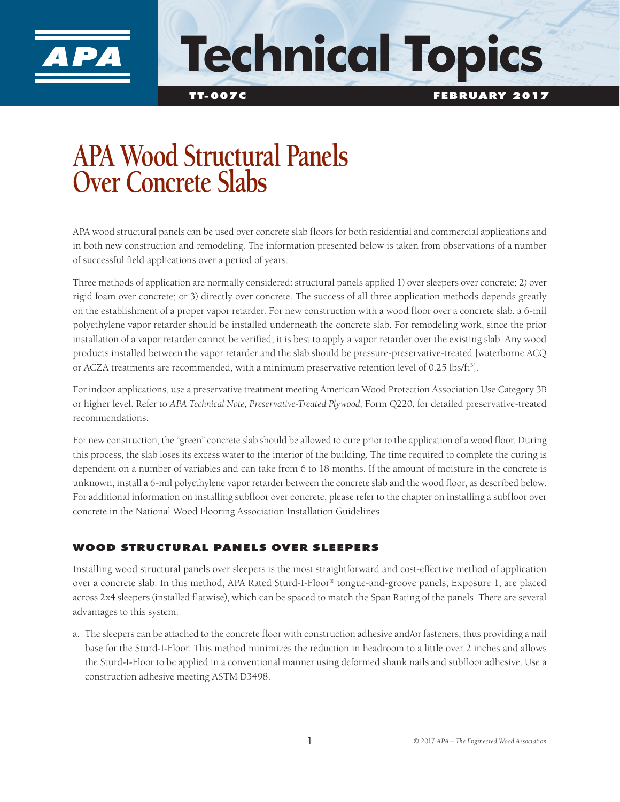

# **Technical Topics**

TT-007C FEBRUARY 2017

# **APA Wood Structural Panels Over Concrete Slabs**

APA wood structural panels can be used over concrete slab floors for both residential and commercial applications and in both new construction and remodeling. The information presented below is taken from observations of a number of successful field applications over a period of years.

Three methods of application are normally considered: structural panels applied 1) over sleepers over concrete; 2) over rigid foam over concrete; or 3) directly over concrete. The success of all three application methods depends greatly on the establishment of a proper vapor retarder. For new construction with a wood floor over a concrete slab, a 6-mil polyethylene vapor retarder should be installed underneath the concrete slab. For remodeling work, since the prior installation of a vapor retarder cannot be verified, it is best to apply a vapor retarder over the existing slab. Any wood products installed between the vapor retarder and the slab should be pressure-preservative-treated [waterborne ACQ or ACZA treatments are recommended, with a minimum preservative retention level of 0.25 lbs/ft<sup>3</sup>].

For indoor applications, use a preservative treatment meeting American Wood Protection Association Use Category 3B or higher level. Refer to *APA Technical Note, Preservative-Treated Plywood,* Form Q220, for detailed preservative-treated recommendations.

For new construction, the "green" concrete slab should be allowed to cure prior to the application of a wood floor. During this process, the slab loses its excess water to the interior of the building. The time required to complete the curing is dependent on a number of variables and can take from 6 to 18 months. If the amount of moisture in the concrete is unknown, install a 6-mil polyethylene vapor retarder between the concrete slab and the wood floor, as described below. For additional information on installing subfloor over concrete, please refer to the chapter on installing a subfloor over concrete in the National Wood Flooring Association Installation Guidelines.

## WOOD STRUCTURAL PANELS OVER SLEEPERS

Installing wood structural panels over sleepers is the most straightforward and cost-effective method of application over a concrete slab. In this method, APA Rated Sturd-I-Floor® tongue-and-groove panels, Exposure 1, are placed across 2x4 sleepers (installed flatwise), which can be spaced to match the Span Rating of the panels. There are several advantages to this system:

a. The sleepers can be attached to the concrete floor with construction adhesive and/or fasteners, thus providing a nail base for the Sturd-I-Floor. This method minimizes the reduction in headroom to a little over 2 inches and allows the Sturd-I-Floor to be applied in a conventional manner using deformed shank nails and subfloor adhesive. Use a construction adhesive meeting ASTM D3498.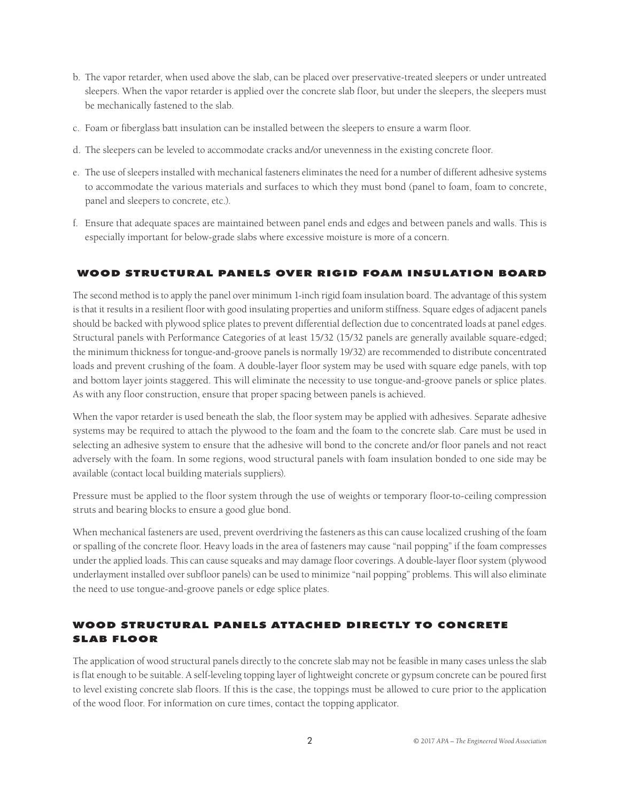- b. The vapor retarder, when used above the slab, can be placed over preservative-treated sleepers or under untreated sleepers. When the vapor retarder is applied over the concrete slab floor, but under the sleepers, the sleepers must be mechanically fastened to the slab.
- c. Foam or fiberglass batt insulation can be installed between the sleepers to ensure a warm floor.
- d. The sleepers can be leveled to accommodate cracks and/or unevenness in the existing concrete floor.
- e. The use of sleepers installed with mechanical fasteners eliminates the need for a number of different adhesive systems to accommodate the various materials and surfaces to which they must bond (panel to foam, foam to concrete, panel and sleepers to concrete, etc.).
- f. Ensure that adequate spaces are maintained between panel ends and edges and between panels and walls. This is especially important for below-grade slabs where excessive moisture is more of a concern.

#### WOOD STRUCTURAL PANELS OVER RIGID FOAM INSULATION BOARD

The second method is to apply the panel over minimum 1-inch rigid foam insulation board. The advantage of this system is that it results in a resilient floor with good insulating properties and uniform stiffness. Square edges of adjacent panels should be backed with plywood splice plates to prevent differential deflection due to concentrated loads at panel edges. Structural panels with Performance Categories of at least 15/32 (15/32 panels are generally available square-edged; the minimum thickness for tongue-and-groove panels is normally 19/32) are recommended to distribute concentrated loads and prevent crushing of the foam. A double-layer floor system may be used with square edge panels, with top and bottom layer joints staggered. This will eliminate the necessity to use tongue-and-groove panels or splice plates. As with any floor construction, ensure that proper spacing between panels is achieved.

When the vapor retarder is used beneath the slab, the floor system may be applied with adhesives. Separate adhesive systems may be required to attach the plywood to the foam and the foam to the concrete slab. Care must be used in selecting an adhesive system to ensure that the adhesive will bond to the concrete and/or floor panels and not react adversely with the foam. In some regions, wood structural panels with foam insulation bonded to one side may be available (contact local building materials suppliers).

Pressure must be applied to the floor system through the use of weights or temporary floor-to-ceiling compression struts and bearing blocks to ensure a good glue bond.

When mechanical fasteners are used, prevent overdriving the fasteners as this can cause localized crushing of the foam or spalling of the concrete floor. Heavy loads in the area of fasteners may cause "nail popping" if the foam compresses under the applied loads. This can cause squeaks and may damage floor coverings. A double-layer floor system (plywood underlayment installed over subfloor panels) can be used to minimize "nail popping" problems. This will also eliminate the need to use tongue-and-groove panels or edge splice plates.

## WOOD STRUCTURAL PANELS ATTACHED DIRECTLY TO CONCRETE SLAB FLOOR

The application of wood structural panels directly to the concrete slab may not be feasible in many cases unless the slab is flat enough to be suitable. A self-leveling topping layer of lightweight concrete or gypsum concrete can be poured first to level existing concrete slab floors. If this is the case, the toppings must be allowed to cure prior to the application of the wood floor. For information on cure times, contact the topping applicator.